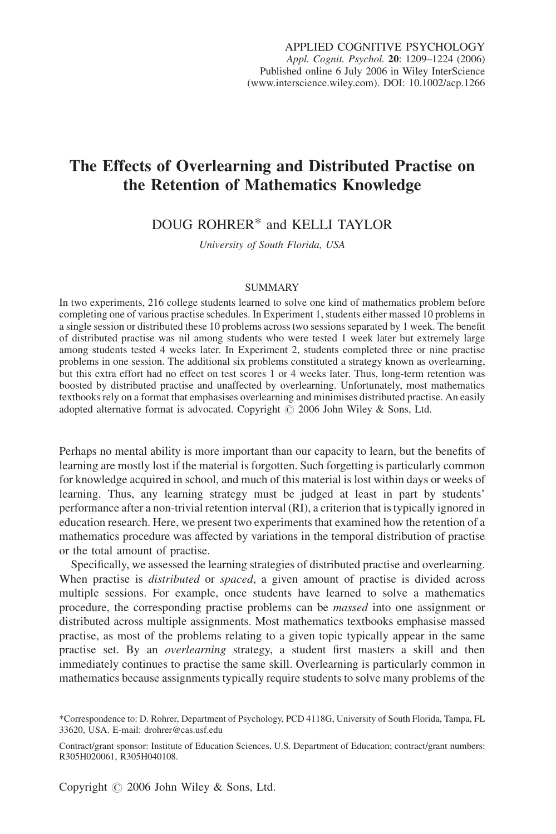# The Effects of Overlearning and Distributed Practise on the Retention of Mathematics Knowledge

# DOUG ROHRER\* and KELLI TAYLOR

University of South Florida, USA

#### SUMMARY

In two experiments, 216 college students learned to solve one kind of mathematics problem before completing one of various practise schedules. In Experiment 1, students either massed 10 problems in a single session or distributed these 10 problems across two sessions separated by 1 week. The benefit of distributed practise was nil among students who were tested 1 week later but extremely large among students tested 4 weeks later. In Experiment 2, students completed three or nine practise problems in one session. The additional six problems constituted a strategy known as overlearning, but this extra effort had no effect on test scores 1 or 4 weeks later. Thus, long-term retention was boosted by distributed practise and unaffected by overlearning. Unfortunately, most mathematics textbooks rely on a format that emphasises overlearning and minimises distributed practise. An easily adopted alternative format is advocated. Copyright  $\odot$  2006 John Wiley & Sons, Ltd.

Perhaps no mental ability is more important than our capacity to learn, but the benefits of learning are mostly lost if the material is forgotten. Such forgetting is particularly common for knowledge acquired in school, and much of this material is lost within days or weeks of learning. Thus, any learning strategy must be judged at least in part by students' performance after a non-trivial retention interval (RI), a criterion that is typically ignored in education research. Here, we present two experiments that examined how the retention of a mathematics procedure was affected by variations in the temporal distribution of practise or the total amount of practise.

Specifically, we assessed the learning strategies of distributed practise and overlearning. When practise is *distributed* or *spaced*, a given amount of practise is divided across multiple sessions. For example, once students have learned to solve a mathematics procedure, the corresponding practise problems can be massed into one assignment or distributed across multiple assignments. Most mathematics textbooks emphasise massed practise, as most of the problems relating to a given topic typically appear in the same practise set. By an *overlearning* strategy, a student first masters a skill and then immediately continues to practise the same skill. Overlearning is particularly common in mathematics because assignments typically require students to solve many problems of the

<sup>\*</sup>Correspondence to: D. Rohrer, Department of Psychology, PCD 4118G, University of South Florida, Tampa, FL 33620, USA. E-mail: drohrer@cas.usf.edu

Contract/grant sponsor: Institute of Education Sciences, U.S. Department of Education; contract/grant numbers: R305H020061, R305H040108.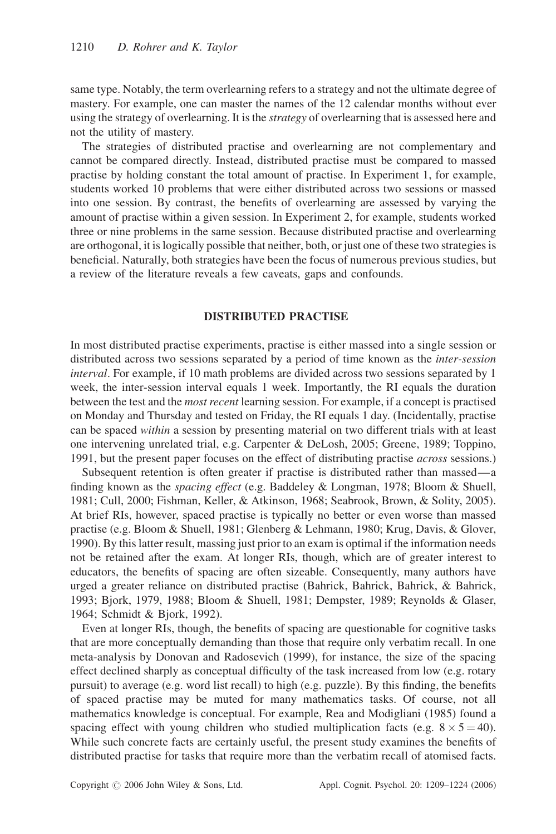same type. Notably, the term overlearning refers to a strategy and not the ultimate degree of mastery. For example, one can master the names of the 12 calendar months without ever using the strategy of overlearning. It is the *strategy* of overlearning that is assessed here and not the utility of mastery.

The strategies of distributed practise and overlearning are not complementary and cannot be compared directly. Instead, distributed practise must be compared to massed practise by holding constant the total amount of practise. In Experiment 1, for example, students worked 10 problems that were either distributed across two sessions or massed into one session. By contrast, the benefits of overlearning are assessed by varying the amount of practise within a given session. In Experiment 2, for example, students worked three or nine problems in the same session. Because distributed practise and overlearning are orthogonal, it is logically possible that neither, both, or just one of these two strategies is beneficial. Naturally, both strategies have been the focus of numerous previous studies, but a review of the literature reveals a few caveats, gaps and confounds.

# DISTRIBUTED PRACTISE

In most distributed practise experiments, practise is either massed into a single session or distributed across two sessions separated by a period of time known as the *inter-session* interval. For example, if 10 math problems are divided across two sessions separated by 1 week, the inter-session interval equals 1 week. Importantly, the RI equals the duration between the test and the *most recent* learning session. For example, if a concept is practised on Monday and Thursday and tested on Friday, the RI equals 1 day. (Incidentally, practise can be spaced within a session by presenting material on two different trials with at least one intervening unrelated trial, e.g. Carpenter & DeLosh, 2005; Greene, 1989; Toppino, 1991, but the present paper focuses on the effect of distributing practise *across* sessions.)

Subsequent retention is often greater if practise is distributed rather than massed—a finding known as the spacing effect (e.g. Baddeley & Longman, 1978; Bloom & Shuell, 1981; Cull, 2000; Fishman, Keller, & Atkinson, 1968; Seabrook, Brown, & Solity, 2005). At brief RIs, however, spaced practise is typically no better or even worse than massed practise (e.g. Bloom & Shuell, 1981; Glenberg & Lehmann, 1980; Krug, Davis, & Glover, 1990). By this latter result, massing just prior to an exam is optimal if the information needs not be retained after the exam. At longer RIs, though, which are of greater interest to educators, the benefits of spacing are often sizeable. Consequently, many authors have urged a greater reliance on distributed practise (Bahrick, Bahrick, Bahrick, & Bahrick, 1993; Bjork, 1979, 1988; Bloom & Shuell, 1981; Dempster, 1989; Reynolds & Glaser, 1964; Schmidt & Bjork, 1992).

Even at longer RIs, though, the benefits of spacing are questionable for cognitive tasks that are more conceptually demanding than those that require only verbatim recall. In one meta-analysis by Donovan and Radosevich (1999), for instance, the size of the spacing effect declined sharply as conceptual difficulty of the task increased from low (e.g. rotary pursuit) to average (e.g. word list recall) to high (e.g. puzzle). By this finding, the benefits of spaced practise may be muted for many mathematics tasks. Of course, not all mathematics knowledge is conceptual. For example, Rea and Modigliani (1985) found a spacing effect with young children who studied multiplication facts (e.g.  $8 \times 5 = 40$ ). While such concrete facts are certainly useful, the present study examines the benefits of distributed practise for tasks that require more than the verbatim recall of atomised facts.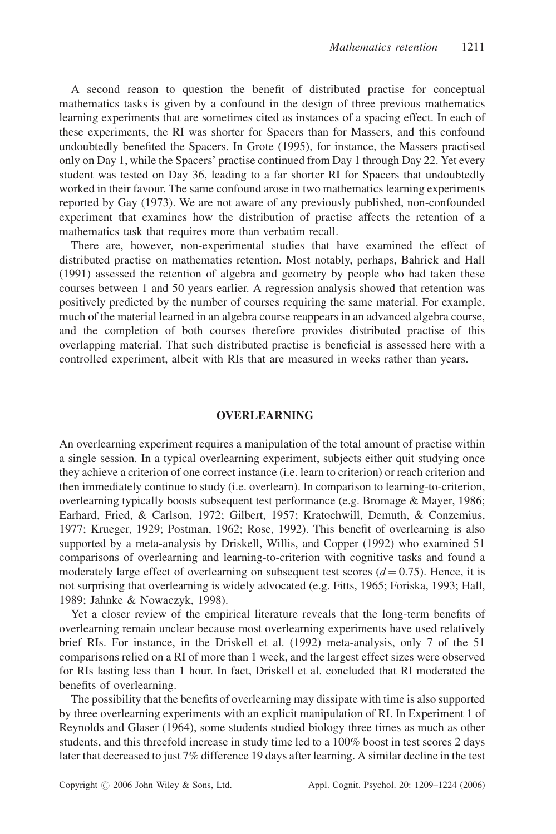A second reason to question the benefit of distributed practise for conceptual mathematics tasks is given by a confound in the design of three previous mathematics learning experiments that are sometimes cited as instances of a spacing effect. In each of these experiments, the RI was shorter for Spacers than for Massers, and this confound undoubtedly benefited the Spacers. In Grote (1995), for instance, the Massers practised only on Day 1, while the Spacers' practise continued from Day 1 through Day 22. Yet every student was tested on Day 36, leading to a far shorter RI for Spacers that undoubtedly worked in their favour. The same confound arose in two mathematics learning experiments reported by Gay (1973). We are not aware of any previously published, non-confounded experiment that examines how the distribution of practise affects the retention of a mathematics task that requires more than verbatim recall.

There are, however, non-experimental studies that have examined the effect of distributed practise on mathematics retention. Most notably, perhaps, Bahrick and Hall (1991) assessed the retention of algebra and geometry by people who had taken these courses between 1 and 50 years earlier. A regression analysis showed that retention was positively predicted by the number of courses requiring the same material. For example, much of the material learned in an algebra course reappears in an advanced algebra course, and the completion of both courses therefore provides distributed practise of this overlapping material. That such distributed practise is beneficial is assessed here with a controlled experiment, albeit with RIs that are measured in weeks rather than years.

#### OVERLEARNING

An overlearning experiment requires a manipulation of the total amount of practise within a single session. In a typical overlearning experiment, subjects either quit studying once they achieve a criterion of one correct instance (i.e. learn to criterion) or reach criterion and then immediately continue to study (i.e. overlearn). In comparison to learning-to-criterion, overlearning typically boosts subsequent test performance (e.g. Bromage & Mayer, 1986; Earhard, Fried, & Carlson, 1972; Gilbert, 1957; Kratochwill, Demuth, & Conzemius, 1977; Krueger, 1929; Postman, 1962; Rose, 1992). This benefit of overlearning is also supported by a meta-analysis by Driskell, Willis, and Copper (1992) who examined 51 comparisons of overlearning and learning-to-criterion with cognitive tasks and found a moderately large effect of overlearning on subsequent test scores  $(d = 0.75)$ . Hence, it is not surprising that overlearning is widely advocated (e.g. Fitts, 1965; Foriska, 1993; Hall, 1989; Jahnke & Nowaczyk, 1998).

Yet a closer review of the empirical literature reveals that the long-term benefits of overlearning remain unclear because most overlearning experiments have used relatively brief RIs. For instance, in the Driskell et al. (1992) meta-analysis, only 7 of the 51 comparisons relied on a RI of more than 1 week, and the largest effect sizes were observed for RIs lasting less than 1 hour. In fact, Driskell et al. concluded that RI moderated the benefits of overlearning.

The possibility that the benefits of overlearning may dissipate with time is also supported by three overlearning experiments with an explicit manipulation of RI. In Experiment 1 of Reynolds and Glaser (1964), some students studied biology three times as much as other students, and this threefold increase in study time led to a 100% boost in test scores 2 days later that decreased to just 7% difference 19 days after learning. A similar decline in the test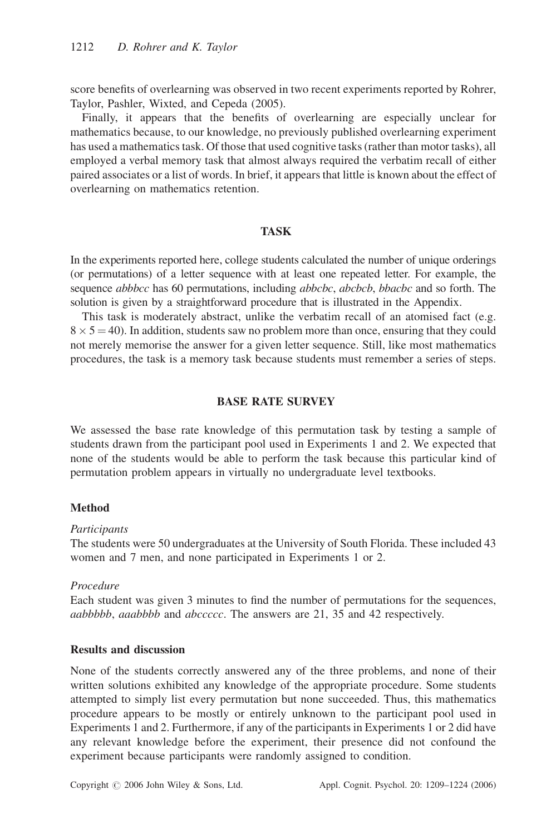score benefits of overlearning was observed in two recent experiments reported by Rohrer, Taylor, Pashler, Wixted, and Cepeda (2005).

Finally, it appears that the benefits of overlearning are especially unclear for mathematics because, to our knowledge, no previously published overlearning experiment has used a mathematics task. Of those that used cognitive tasks (rather than motor tasks), all employed a verbal memory task that almost always required the verbatim recall of either paired associates or a list of words. In brief, it appears that little is known about the effect of overlearning on mathematics retention.

# **TASK**

In the experiments reported here, college students calculated the number of unique orderings (or permutations) of a letter sequence with at least one repeated letter. For example, the sequence *abbbcc* has 60 permutations, including *abbcbc*, *abcbcb*, *bbacbc* and so forth. The solution is given by a straightforward procedure that is illustrated in the Appendix.

This task is moderately abstract, unlike the verbatim recall of an atomised fact (e.g.  $8 \times 5 = 40$ ). In addition, students saw no problem more than once, ensuring that they could not merely memorise the answer for a given letter sequence. Still, like most mathematics procedures, the task is a memory task because students must remember a series of steps.

# BASE RATE SURVEY

We assessed the base rate knowledge of this permutation task by testing a sample of students drawn from the participant pool used in Experiments 1 and 2. We expected that none of the students would be able to perform the task because this particular kind of permutation problem appears in virtually no undergraduate level textbooks.

## Method

#### **Participants**

The students were 50 undergraduates at the University of South Florida. These included 43 women and 7 men, and none participated in Experiments 1 or 2.

## Procedure

Each student was given 3 minutes to find the number of permutations for the sequences, aabbbbb, aaabbbb and abccccc. The answers are 21, 35 and 42 respectively.

# Results and discussion

None of the students correctly answered any of the three problems, and none of their written solutions exhibited any knowledge of the appropriate procedure. Some students attempted to simply list every permutation but none succeeded. Thus, this mathematics procedure appears to be mostly or entirely unknown to the participant pool used in Experiments 1 and 2. Furthermore, if any of the participants in Experiments 1 or 2 did have any relevant knowledge before the experiment, their presence did not confound the experiment because participants were randomly assigned to condition.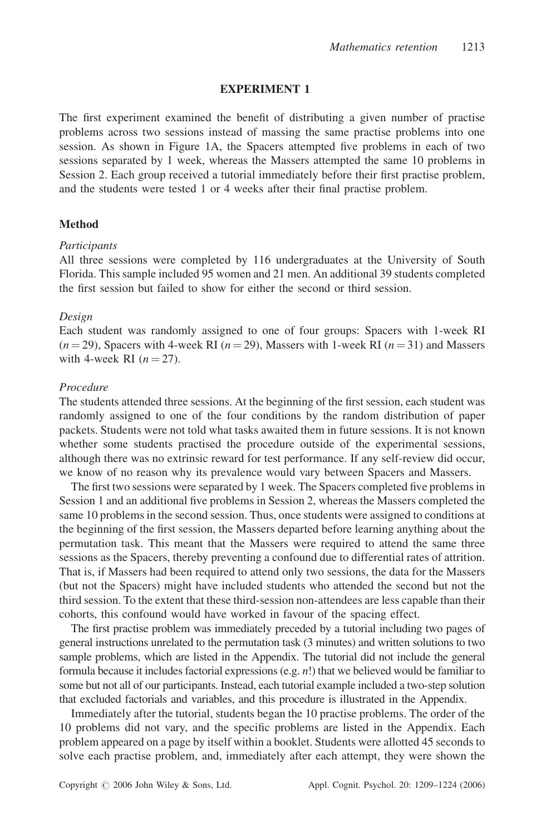## EXPERIMENT 1

The first experiment examined the benefit of distributing a given number of practise problems across two sessions instead of massing the same practise problems into one session. As shown in Figure 1A, the Spacers attempted five problems in each of two sessions separated by 1 week, whereas the Massers attempted the same 10 problems in Session 2. Each group received a tutorial immediately before their first practise problem, and the students were tested 1 or 4 weeks after their final practise problem.

#### Method

#### Participants

All three sessions were completed by 116 undergraduates at the University of South Florida. This sample included 95 women and 21 men. An additional 39 students completed the first session but failed to show for either the second or third session.

#### Design

Each student was randomly assigned to one of four groups: Spacers with 1-week RI  $(n = 29)$ , Spacers with 4-week RI  $(n = 29)$ , Massers with 1-week RI  $(n = 31)$  and Massers with 4-week RI  $(n = 27)$ .

## Procedure

The students attended three sessions. At the beginning of the first session, each student was randomly assigned to one of the four conditions by the random distribution of paper packets. Students were not told what tasks awaited them in future sessions. It is not known whether some students practised the procedure outside of the experimental sessions, although there was no extrinsic reward for test performance. If any self-review did occur, we know of no reason why its prevalence would vary between Spacers and Massers.

The first two sessions were separated by 1 week. The Spacers completed five problems in Session 1 and an additional five problems in Session 2, whereas the Massers completed the same 10 problems in the second session. Thus, once students were assigned to conditions at the beginning of the first session, the Massers departed before learning anything about the permutation task. This meant that the Massers were required to attend the same three sessions as the Spacers, thereby preventing a confound due to differential rates of attrition. That is, if Massers had been required to attend only two sessions, the data for the Massers (but not the Spacers) might have included students who attended the second but not the third session. To the extent that these third-session non-attendees are less capable than their cohorts, this confound would have worked in favour of the spacing effect.

The first practise problem was immediately preceded by a tutorial including two pages of general instructions unrelated to the permutation task (3 minutes) and written solutions to two sample problems, which are listed in the Appendix. The tutorial did not include the general formula because it includes factorial expressions (e.g.  $n!$ ) that we believed would be familiar to some but not all of our participants. Instead, each tutorial example included a two-step solution that excluded factorials and variables, and this procedure is illustrated in the Appendix.

Immediately after the tutorial, students began the 10 practise problems. The order of the 10 problems did not vary, and the specific problems are listed in the Appendix. Each problem appeared on a page by itself within a booklet. Students were allotted 45 seconds to solve each practise problem, and, immediately after each attempt, they were shown the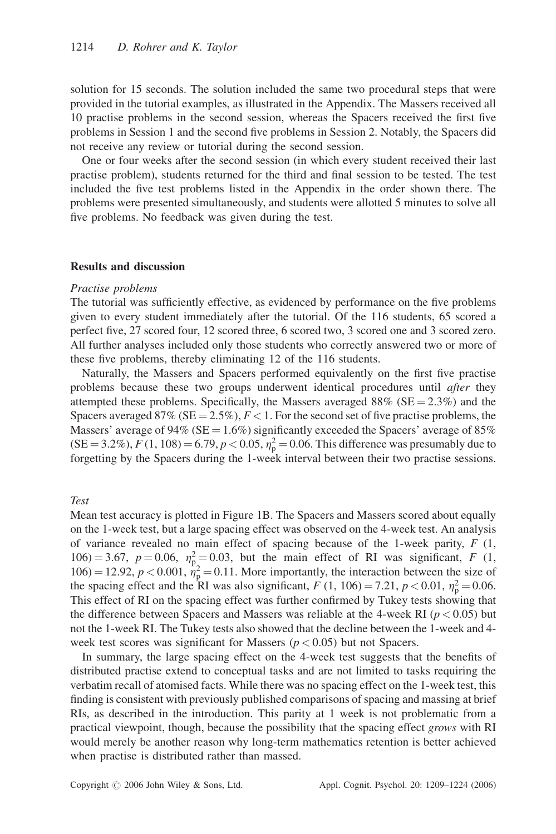solution for 15 seconds. The solution included the same two procedural steps that were provided in the tutorial examples, as illustrated in the Appendix. The Massers received all 10 practise problems in the second session, whereas the Spacers received the first five problems in Session 1 and the second five problems in Session 2. Notably, the Spacers did not receive any review or tutorial during the second session.

One or four weeks after the second session (in which every student received their last practise problem), students returned for the third and final session to be tested. The test included the five test problems listed in the Appendix in the order shown there. The problems were presented simultaneously, and students were allotted 5 minutes to solve all five problems. No feedback was given during the test.

#### Results and discussion

#### Practise problems

The tutorial was sufficiently effective, as evidenced by performance on the five problems given to every student immediately after the tutorial. Of the 116 students, 65 scored a perfect five, 27 scored four, 12 scored three, 6 scored two, 3 scored one and 3 scored zero. All further analyses included only those students who correctly answered two or more of these five problems, thereby eliminating 12 of the 116 students.

Naturally, the Massers and Spacers performed equivalently on the first five practise problems because these two groups underwent identical procedures until *after* they attempted these problems. Specifically, the Massers averaged  $88\%$  (SE = 2.3%) and the Spacers averaged 87% (SE = 2.5%),  $F < 1$ . For the second set of five practise problems, the Massers' average of 94% (SE =  $1.6\%$ ) significantly exceeded the Spacers' average of 85%  $(SE = 3.2\%)$ ,  $F(1, 108) = 6.79$ ,  $p < 0.05$ ,  $\eta_p^2 = 0.06$ . This difference was presumably due to forgetting by the Spacers during the 1-week interval between their two practise sessions.

## Test

Mean test accuracy is plotted in Figure 1B. The Spacers and Massers scored about equally on the 1-week test, but a large spacing effect was observed on the 4-week test. An analysis of variance revealed no main effect of spacing because of the 1-week parity,  $F(1,$ 106) = 3.67,  $p = 0.06$ ,  $\eta_{p_2}^2 = 0.03$ , but the main effect of RI was significant, F (1,  $106$  = 12.92,  $p < 0.001$ ,  $\dot{\eta}_p^2 = 0.11$ . More importantly, the interaction between the size of the spacing effect and the RI was also significant,  $F(1, 106) = 7.21$ ,  $p < 0.01$ ,  $\eta_p^2 = 0.06$ . This effect of RI on the spacing effect was further confirmed by Tukey tests showing that the difference between Spacers and Massers was reliable at the 4-week RI ( $p < 0.05$ ) but not the 1-week RI. The Tukey tests also showed that the decline between the 1-week and 4 week test scores was significant for Massers ( $p < 0.05$ ) but not Spacers.

In summary, the large spacing effect on the 4-week test suggests that the benefits of distributed practise extend to conceptual tasks and are not limited to tasks requiring the verbatim recall of atomised facts. While there was no spacing effect on the 1-week test, this finding is consistent with previously published comparisons of spacing and massing at brief RIs, as described in the introduction. This parity at 1 week is not problematic from a practical viewpoint, though, because the possibility that the spacing effect grows with RI would merely be another reason why long-term mathematics retention is better achieved when practise is distributed rather than massed.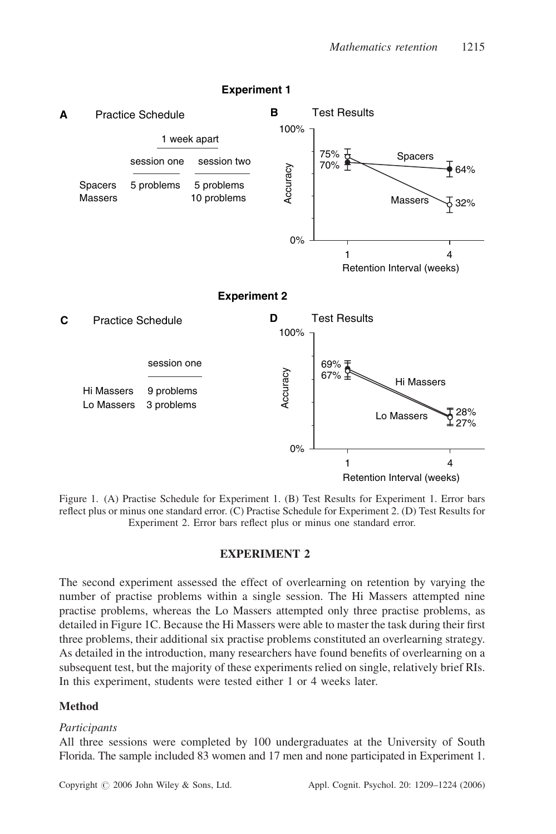

**Experiment 1**

Figure 1. (A) Practise Schedule for Experiment 1. (B) Test Results for Experiment 1. Error bars reflect plus or minus one standard error. (C) Practise Schedule for Experiment 2. (D) Test Results for Experiment 2. Error bars reflect plus or minus one standard error.

## EXPERIMENT 2

The second experiment assessed the effect of overlearning on retention by varying the number of practise problems within a single session. The Hi Massers attempted nine practise problems, whereas the Lo Massers attempted only three practise problems, as detailed in Figure 1C. Because the Hi Massers were able to master the task during their first three problems, their additional six practise problems constituted an overlearning strategy. As detailed in the introduction, many researchers have found benefits of overlearning on a subsequent test, but the majority of these experiments relied on single, relatively brief RIs. In this experiment, students were tested either 1 or 4 weeks later.

# **Method**

## **Participants**

All three sessions were completed by 100 undergraduates at the University of South Florida. The sample included 83 women and 17 men and none participated in Experiment 1.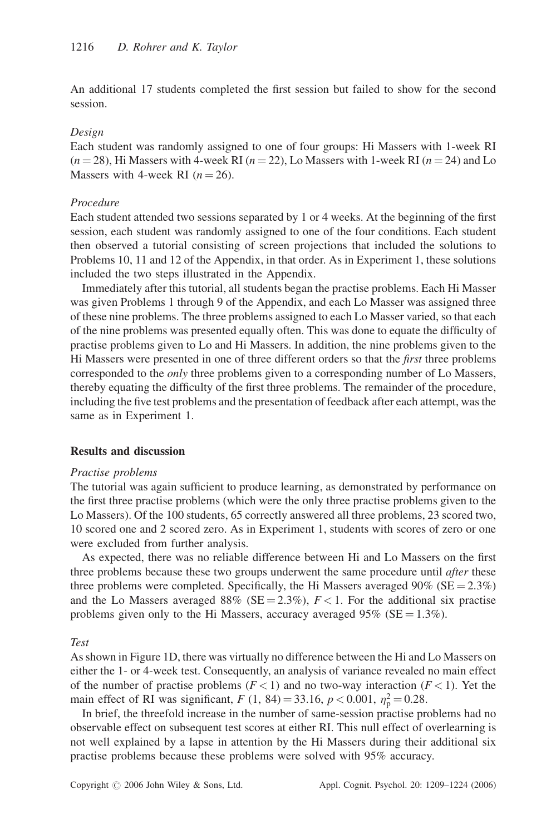An additional 17 students completed the first session but failed to show for the second session.

#### Design

Each student was randomly assigned to one of four groups: Hi Massers with 1-week RI  $(n = 28)$ , Hi Massers with 4-week RI  $(n = 22)$ , Lo Massers with 1-week RI  $(n = 24)$  and Lo Massers with 4-week RI  $(n = 26)$ .

## Procedure

Each student attended two sessions separated by 1 or 4 weeks. At the beginning of the first session, each student was randomly assigned to one of the four conditions. Each student then observed a tutorial consisting of screen projections that included the solutions to Problems 10, 11 and 12 of the Appendix, in that order. As in Experiment 1, these solutions included the two steps illustrated in the Appendix.

Immediately after this tutorial, all students began the practise problems. Each Hi Masser was given Problems 1 through 9 of the Appendix, and each Lo Masser was assigned three of these nine problems. The three problems assigned to each Lo Masser varied, so that each of the nine problems was presented equally often. This was done to equate the difficulty of practise problems given to Lo and Hi Massers. In addition, the nine problems given to the Hi Massers were presented in one of three different orders so that the *first* three problems corresponded to the *only* three problems given to a corresponding number of Lo Massers, thereby equating the difficulty of the first three problems. The remainder of the procedure, including the five test problems and the presentation of feedback after each attempt, was the same as in Experiment 1.

#### Results and discussion

#### Practise problems

The tutorial was again sufficient to produce learning, as demonstrated by performance on the first three practise problems (which were the only three practise problems given to the Lo Massers). Of the 100 students, 65 correctly answered all three problems, 23 scored two, 10 scored one and 2 scored zero. As in Experiment 1, students with scores of zero or one were excluded from further analysis.

As expected, there was no reliable difference between Hi and Lo Massers on the first three problems because these two groups underwent the same procedure until *after* these three problems were completed. Specifically, the Hi Massers averaged 90% ( $SE = 2.3\%$ ) and the Lo Massers averaged 88% (SE = 2.3%),  $F < 1$ . For the additional six practise problems given only to the Hi Massers, accuracy averaged 95% ( $SE = 1.3\%$ ).

Test

As shown in Figure 1D, there was virtually no difference between the Hi and Lo Massers on either the 1- or 4-week test. Consequently, an analysis of variance revealed no main effect of the number of practise problems  $(F < 1)$  and no two-way interaction  $(F < 1)$ . Yet the main effect of RI was significant,  $F(1, 84) = 33.16, p < 0.001, \eta_p^2 = 0.28$ .

In brief, the threefold increase in the number of same-session practise problems had no observable effect on subsequent test scores at either RI. This null effect of overlearning is not well explained by a lapse in attention by the Hi Massers during their additional six practise problems because these problems were solved with 95% accuracy.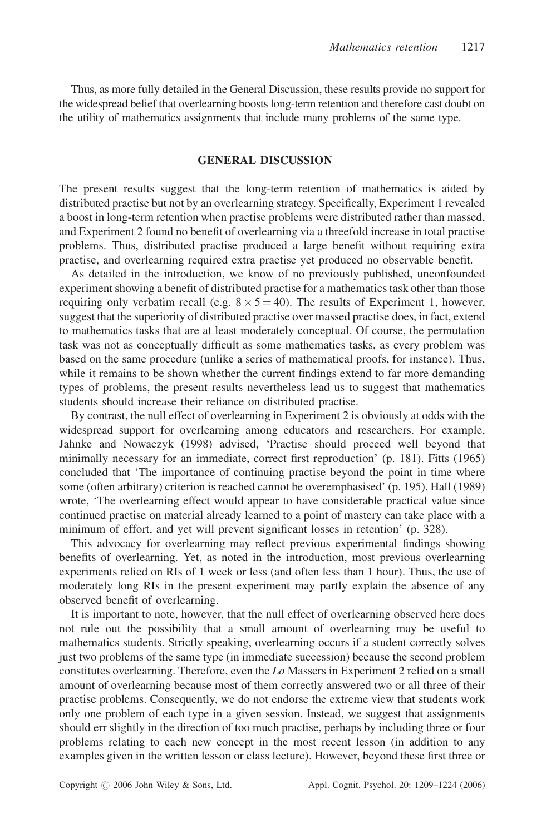Thus, as more fully detailed in the General Discussion, these results provide no support for the widespread belief that overlearning boosts long-term retention and therefore cast doubt on the utility of mathematics assignments that include many problems of the same type.

## GENERAL DISCUSSION

The present results suggest that the long-term retention of mathematics is aided by distributed practise but not by an overlearning strategy. Specifically, Experiment 1 revealed a boost in long-term retention when practise problems were distributed rather than massed, and Experiment 2 found no benefit of overlearning via a threefold increase in total practise problems. Thus, distributed practise produced a large benefit without requiring extra practise, and overlearning required extra practise yet produced no observable benefit.

As detailed in the introduction, we know of no previously published, unconfounded experiment showing a benefit of distributed practise for a mathematics task other than those requiring only verbatim recall (e.g.  $8 \times 5 = 40$ ). The results of Experiment 1, however, suggest that the superiority of distributed practise over massed practise does, in fact, extend to mathematics tasks that are at least moderately conceptual. Of course, the permutation task was not as conceptually difficult as some mathematics tasks, as every problem was based on the same procedure (unlike a series of mathematical proofs, for instance). Thus, while it remains to be shown whether the current findings extend to far more demanding types of problems, the present results nevertheless lead us to suggest that mathematics students should increase their reliance on distributed practise.

By contrast, the null effect of overlearning in Experiment 2 is obviously at odds with the widespread support for overlearning among educators and researchers. For example, Jahnke and Nowaczyk (1998) advised, 'Practise should proceed well beyond that minimally necessary for an immediate, correct first reproduction' (p. 181). Fitts (1965) concluded that 'The importance of continuing practise beyond the point in time where some (often arbitrary) criterion is reached cannot be overemphasised' (p. 195). Hall (1989) wrote, 'The overlearning effect would appear to have considerable practical value since continued practise on material already learned to a point of mastery can take place with a minimum of effort, and yet will prevent significant losses in retention' (p. 328).

This advocacy for overlearning may reflect previous experimental findings showing benefits of overlearning. Yet, as noted in the introduction, most previous overlearning experiments relied on RIs of 1 week or less (and often less than 1 hour). Thus, the use of moderately long RIs in the present experiment may partly explain the absence of any observed benefit of overlearning.

It is important to note, however, that the null effect of overlearning observed here does not rule out the possibility that a small amount of overlearning may be useful to mathematics students. Strictly speaking, overlearning occurs if a student correctly solves just two problems of the same type (in immediate succession) because the second problem constitutes overlearning. Therefore, even the Lo Massers in Experiment 2 relied on a small amount of overlearning because most of them correctly answered two or all three of their practise problems. Consequently, we do not endorse the extreme view that students work only one problem of each type in a given session. Instead, we suggest that assignments should err slightly in the direction of too much practise, perhaps by including three or four problems relating to each new concept in the most recent lesson (in addition to any examples given in the written lesson or class lecture). However, beyond these first three or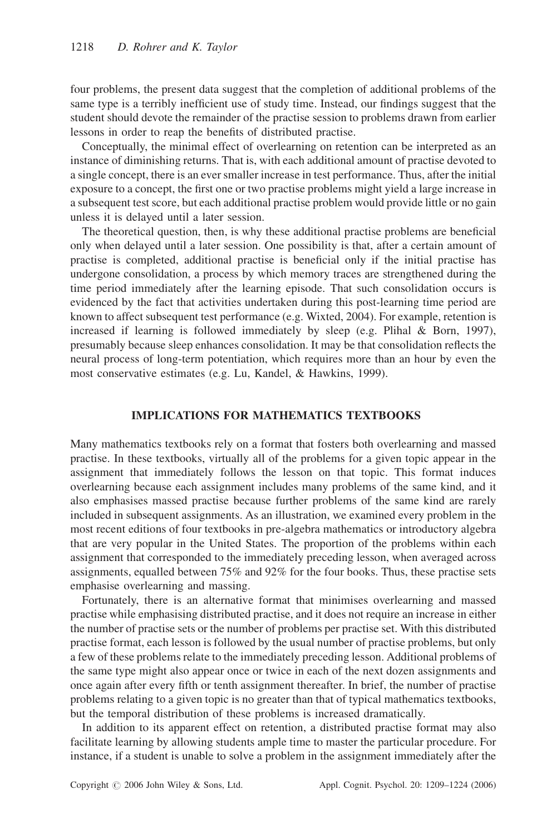four problems, the present data suggest that the completion of additional problems of the same type is a terribly inefficient use of study time. Instead, our findings suggest that the student should devote the remainder of the practise session to problems drawn from earlier lessons in order to reap the benefits of distributed practise.

Conceptually, the minimal effect of overlearning on retention can be interpreted as an instance of diminishing returns. That is, with each additional amount of practise devoted to a single concept, there is an ever smaller increase in test performance. Thus, after the initial exposure to a concept, the first one or two practise problems might yield a large increase in a subsequent test score, but each additional practise problem would provide little or no gain unless it is delayed until a later session.

The theoretical question, then, is why these additional practise problems are beneficial only when delayed until a later session. One possibility is that, after a certain amount of practise is completed, additional practise is beneficial only if the initial practise has undergone consolidation, a process by which memory traces are strengthened during the time period immediately after the learning episode. That such consolidation occurs is evidenced by the fact that activities undertaken during this post-learning time period are known to affect subsequent test performance (e.g. Wixted, 2004). For example, retention is increased if learning is followed immediately by sleep (e.g. Plihal & Born, 1997), presumably because sleep enhances consolidation. It may be that consolidation reflects the neural process of long-term potentiation, which requires more than an hour by even the most conservative estimates (e.g. Lu, Kandel, & Hawkins, 1999).

# IMPLICATIONS FOR MATHEMATICS TEXTBOOKS

Many mathematics textbooks rely on a format that fosters both overlearning and massed practise. In these textbooks, virtually all of the problems for a given topic appear in the assignment that immediately follows the lesson on that topic. This format induces overlearning because each assignment includes many problems of the same kind, and it also emphasises massed practise because further problems of the same kind are rarely included in subsequent assignments. As an illustration, we examined every problem in the most recent editions of four textbooks in pre-algebra mathematics or introductory algebra that are very popular in the United States. The proportion of the problems within each assignment that corresponded to the immediately preceding lesson, when averaged across assignments, equalled between 75% and 92% for the four books. Thus, these practise sets emphasise overlearning and massing.

Fortunately, there is an alternative format that minimises overlearning and massed practise while emphasising distributed practise, and it does not require an increase in either the number of practise sets or the number of problems per practise set. With this distributed practise format, each lesson is followed by the usual number of practise problems, but only a few of these problems relate to the immediately preceding lesson. Additional problems of the same type might also appear once or twice in each of the next dozen assignments and once again after every fifth or tenth assignment thereafter. In brief, the number of practise problems relating to a given topic is no greater than that of typical mathematics textbooks, but the temporal distribution of these problems is increased dramatically.

In addition to its apparent effect on retention, a distributed practise format may also facilitate learning by allowing students ample time to master the particular procedure. For instance, if a student is unable to solve a problem in the assignment immediately after the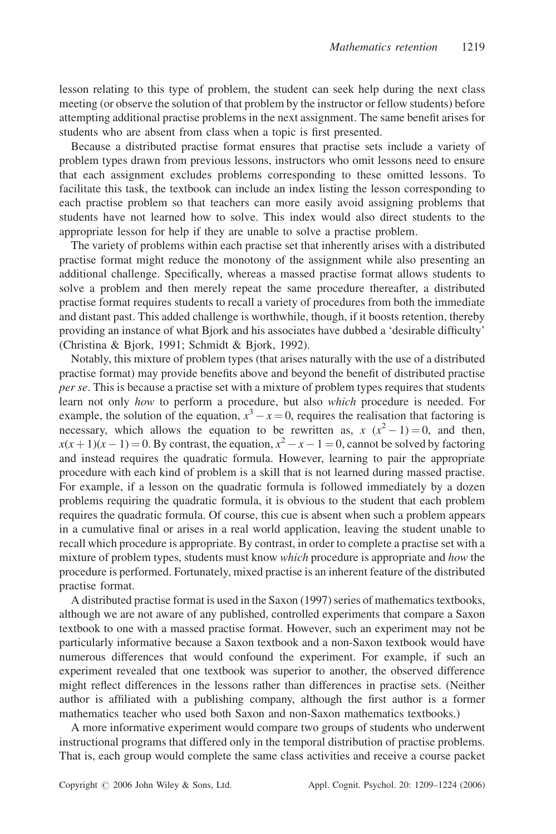lesson relating to this type of problem, the student can seek help during the next class meeting (or observe the solution of that problem by the instructor or fellow students) before attempting additional practise problems in the next assignment. The same benefit arises for students who are absent from class when a topic is first presented.

Because a distributed practise format ensures that practise sets include a variety of problem types drawn from previous lessons, instructors who omit lessons need to ensure that each assignment excludes problems corresponding to these omitted lessons. To facilitate this task, the textbook can include an index listing the lesson corresponding to each practise problem so that teachers can more easily avoid assigning problems that students have not learned how to solve. This index would also direct students to the appropriate lesson for help if they are unable to solve a practise problem.

The variety of problems within each practise set that inherently arises with a distributed practise format might reduce the monotony of the assignment while also presenting an additional challenge. Specifically, whereas a massed practise format allows students to solve a problem and then merely repeat the same procedure thereafter, a distributed practise format requires students to recall a variety of procedures from both the immediate and distant past. This added challenge is worthwhile, though, if it boosts retention, thereby providing an instance of what Bjork and his associates have dubbed a 'desirable difficulty' (Christina & Bjork, 1991; Schmidt & Bjork, 1992).

Notably, this mixture of problem types (that arises naturally with the use of a distributed practise format) may provide benefits above and beyond the benefit of distributed practise per se. This is because a practise set with a mixture of problem types requires that students learn not only how to perform a procedure, but also which procedure is needed. For example, the solution of the equation,  $x^3 - x = 0$ , requires the realisation that factoring is necessary, which allows the equation to be rewritten as,  $x(x^2 - 1) = 0$ , and then,  $x(x+1)(x-1) = 0$ . By contrast, the equation,  $x^2 - x - 1 = 0$ , cannot be solved by factoring and instead requires the quadratic formula. However, learning to pair the appropriate procedure with each kind of problem is a skill that is not learned during massed practise. For example, if a lesson on the quadratic formula is followed immediately by a dozen problems requiring the quadratic formula, it is obvious to the student that each problem requires the quadratic formula. Of course, this cue is absent when such a problem appears in a cumulative final or arises in a real world application, leaving the student unable to recall which procedure is appropriate. By contrast, in order to complete a practise set with a mixture of problem types, students must know *which* procedure is appropriate and *how* the procedure is performed. Fortunately, mixed practise is an inherent feature of the distributed practise format.

A distributed practise format is used in the Saxon (1997) series of mathematics textbooks, although we are not aware of any published, controlled experiments that compare a Saxon textbook to one with a massed practise format. However, such an experiment may not be particularly informative because a Saxon textbook and a non-Saxon textbook would have numerous differences that would confound the experiment. For example, if such an experiment revealed that one textbook was superior to another, the observed difference might reflect differences in the lessons rather than differences in practise sets. (Neither author is affiliated with a publishing company, although the first author is a former mathematics teacher who used both Saxon and non-Saxon mathematics textbooks.)

A more informative experiment would compare two groups of students who underwent instructional programs that differed only in the temporal distribution of practise problems. That is, each group would complete the same class activities and receive a course packet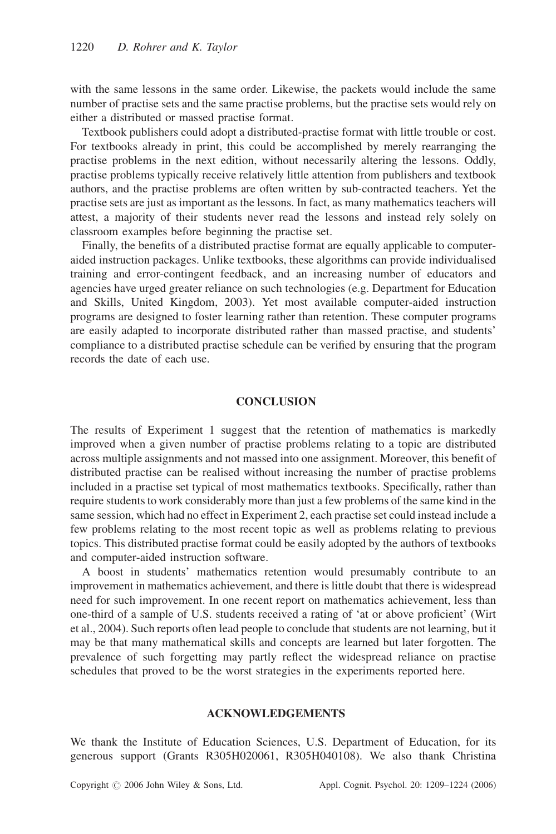with the same lessons in the same order. Likewise, the packets would include the same number of practise sets and the same practise problems, but the practise sets would rely on either a distributed or massed practise format.

Textbook publishers could adopt a distributed-practise format with little trouble or cost. For textbooks already in print, this could be accomplished by merely rearranging the practise problems in the next edition, without necessarily altering the lessons. Oddly, practise problems typically receive relatively little attention from publishers and textbook authors, and the practise problems are often written by sub-contracted teachers. Yet the practise sets are just as important as the lessons. In fact, as many mathematics teachers will attest, a majority of their students never read the lessons and instead rely solely on classroom examples before beginning the practise set.

Finally, the benefits of a distributed practise format are equally applicable to computeraided instruction packages. Unlike textbooks, these algorithms can provide individualised training and error-contingent feedback, and an increasing number of educators and agencies have urged greater reliance on such technologies (e.g. Department for Education and Skills, United Kingdom, 2003). Yet most available computer-aided instruction programs are designed to foster learning rather than retention. These computer programs are easily adapted to incorporate distributed rather than massed practise, and students' compliance to a distributed practise schedule can be verified by ensuring that the program records the date of each use.

## **CONCLUSION**

The results of Experiment 1 suggest that the retention of mathematics is markedly improved when a given number of practise problems relating to a topic are distributed across multiple assignments and not massed into one assignment. Moreover, this benefit of distributed practise can be realised without increasing the number of practise problems included in a practise set typical of most mathematics textbooks. Specifically, rather than require students to work considerably more than just a few problems of the same kind in the same session, which had no effect in Experiment 2, each practise set could instead include a few problems relating to the most recent topic as well as problems relating to previous topics. This distributed practise format could be easily adopted by the authors of textbooks and computer-aided instruction software.

A boost in students' mathematics retention would presumably contribute to an improvement in mathematics achievement, and there is little doubt that there is widespread need for such improvement. In one recent report on mathematics achievement, less than one-third of a sample of U.S. students received a rating of 'at or above proficient' (Wirt et al., 2004). Such reports often lead people to conclude that students are not learning, but it may be that many mathematical skills and concepts are learned but later forgotten. The prevalence of such forgetting may partly reflect the widespread reliance on practise schedules that proved to be the worst strategies in the experiments reported here.

#### ACKNOWLEDGEMENTS

We thank the Institute of Education Sciences, U.S. Department of Education, for its generous support (Grants R305H020061, R305H040108). We also thank Christina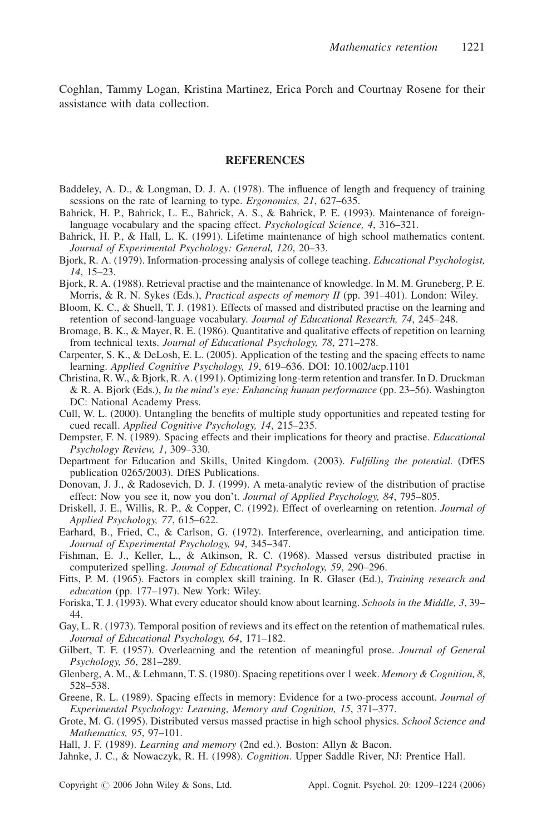Coghlan, Tammy Logan, Kristina Martinez, Erica Porch and Courtnay Rosene for their assistance with data collection.

#### **REFERENCES**

- Baddeley, A. D., & Longman, D. J. A. (1978). The influence of length and frequency of training sessions on the rate of learning to type. Ergonomics, 21, 627–635.
- Bahrick, H. P., Bahrick, L. E., Bahrick, A. S., & Bahrick, P. E. (1993). Maintenance of foreignlanguage vocabulary and the spacing effect. *Psychological Science*, 4, 316–321.
- Bahrick, H. P., & Hall, L. K. (1991). Lifetime maintenance of high school mathematics content. Journal of Experimental Psychology: General, 120, 20–33.
- Bjork, R. A. (1979). Information-processing analysis of college teaching. *Educational Psychologist*, 14, 15–23.
- Bjork, R. A. (1988). Retrieval practise and the maintenance of knowledge. In M. M. Gruneberg, P. E. Morris, & R. N. Sykes (Eds.), *Practical aspects of memory II* (pp. 391–401). London: Wiley.
- Bloom, K. C., & Shuell, T. J. (1981). Effects of massed and distributed practise on the learning and retention of second-language vocabulary. Journal of Educational Research, 74, 245–248.
- Bromage, B. K., & Mayer, R. E. (1986). Quantitative and qualitative effects of repetition on learning from technical texts. Journal of Educational Psychology, 78, 271–278.
- Carpenter, S. K., & DeLosh, E. L. (2005). Application of the testing and the spacing effects to name learning. Applied Cognitive Psychology, 19, 619–636. DOI: 10.1002/acp.1101
- Christina, R. W., & Bjork, R. A. (1991). Optimizing long-term retention and transfer. In D. Druckman & R. A. Bjork (Eds.), In the mind's eye: Enhancing human performance (pp. 23–56). Washington DC: National Academy Press.
- Cull, W. L. (2000). Untangling the benefits of multiple study opportunities and repeated testing for cued recall. Applied Cognitive Psychology, 14, 215–235.
- Dempster, F. N. (1989). Spacing effects and their implications for theory and practise. *Educational* Psychology Review, 1, 309–330.
- Department for Education and Skills, United Kingdom. (2003). Fulfilling the potential. (DfES publication 0265/2003). DfES Publications.
- Donovan, J. J., & Radosevich, D. J. (1999). A meta-analytic review of the distribution of practise effect: Now you see it, now you don't. Journal of Applied Psychology, 84, 795–805.
- Driskell, J. E., Willis, R. P., & Copper, C. (1992). Effect of overlearning on retention. *Journal of* Applied Psychology, 77, 615–622.
- Earhard, B., Fried, C., & Carlson, G. (1972). Interference, overlearning, and anticipation time. Journal of Experimental Psychology, 94, 345–347.
- Fishman, E. J., Keller, L., & Atkinson, R. C. (1968). Massed versus distributed practise in computerized spelling. Journal of Educational Psychology, 59, 290–296.
- Fitts, P. M. (1965). Factors in complex skill training. In R. Glaser (Ed.), Training research and education (pp. 177–197). New York: Wiley.
- Foriska, T. J. (1993). What every educator should know about learning. Schools in the Middle, 3, 39– 44.
- Gay, L. R. (1973). Temporal position of reviews and its effect on the retention of mathematical rules. Journal of Educational Psychology, 64, 171–182.
- Gilbert, T. F. (1957). Overlearning and the retention of meaningful prose. Journal of General Psychology, 56, 281–289.
- Glenberg, A. M., & Lehmann, T. S. (1980). Spacing repetitions over 1 week. Memory & Cognition, 8, 528–538.
- Greene, R. L. (1989). Spacing effects in memory: Evidence for a two-process account. *Journal of* Experimental Psychology: Learning, Memory and Cognition, 15, 371–377.
- Grote, M. G. (1995). Distributed versus massed practise in high school physics. School Science and Mathematics, 95, 97–101.
- Hall, J. F. (1989). *Learning and memory* (2nd ed.). Boston: Allyn & Bacon.

Jahnke, J. C., & Nowaczyk, R. H. (1998). Cognition. Upper Saddle River, NJ: Prentice Hall.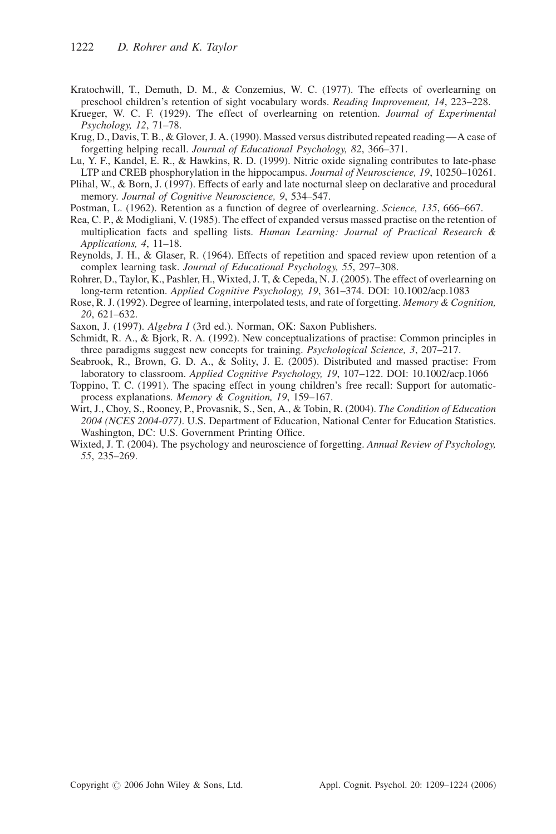- Kratochwill, T., Demuth, D. M., & Conzemius, W. C. (1977). The effects of overlearning on preschool children's retention of sight vocabulary words. Reading Improvement, 14, 223–228.
- Krueger, W. C. F. (1929). The effect of overlearning on retention. Journal of Experimental Psychology, 12, 71–78.
- Krug, D., Davis, T. B., & Glover, J. A. (1990). Massed versus distributed repeated reading—A case of forgetting helping recall. Journal of Educational Psychology, 82, 366–371.
- Lu, Y. F., Kandel, E. R., & Hawkins, R. D. (1999). Nitric oxide signaling contributes to late-phase LTP and CREB phosphorylation in the hippocampus. Journal of Neuroscience, 19, 10250–10261.
- Plihal, W., & Born, J. (1997). Effects of early and late nocturnal sleep on declarative and procedural memory. Journal of Cognitive Neuroscience, 9, 534–547.
- Postman, L. (1962). Retention as a function of degree of overlearning. Science, 135, 666–667.
- Rea, C. P., & Modigliani, V. (1985). The effect of expanded versus massed practise on the retention of multiplication facts and spelling lists. Human Learning: Journal of Practical Research & Applications, 4, 11–18.
- Reynolds, J. H., & Glaser, R. (1964). Effects of repetition and spaced review upon retention of a complex learning task. Journal of Educational Psychology, 55, 297–308.
- Rohrer, D., Taylor, K., Pashler, H., Wixted, J. T, & Cepeda, N. J. (2005). The effect of overlearning on long-term retention. Applied Cognitive Psychology, 19, 361–374. DOI: 10.1002/acp.1083
- Rose, R. J. (1992). Degree of learning, interpolated tests, and rate of forgetting. Memory & Cognition, 20, 621–632.
- Saxon, J. (1997). Algebra I (3rd ed.). Norman, OK: Saxon Publishers.
- Schmidt, R. A., & Bjork, R. A. (1992). New conceptualizations of practise: Common principles in three paradigms suggest new concepts for training. Psychological Science, 3, 207–217.
- Seabrook, R., Brown, G. D. A., & Solity, J. E. (2005). Distributed and massed practise: From laboratory to classroom. Applied Cognitive Psychology, 19, 107–122. DOI: 10.1002/acp.1066
- Toppino, T. C. (1991). The spacing effect in young children's free recall: Support for automaticprocess explanations. Memory & Cognition, 19, 159–167.
- Wirt, J., Choy, S., Rooney, P., Provasnik, S., Sen, A., & Tobin, R. (2004). The Condition of Education 2004 (NCES 2004-077). U.S. Department of Education, National Center for Education Statistics. Washington, DC: U.S. Government Printing Office.
- Wixted, J. T. (2004). The psychology and neuroscience of forgetting. Annual Review of Psychology, 55, 235–269.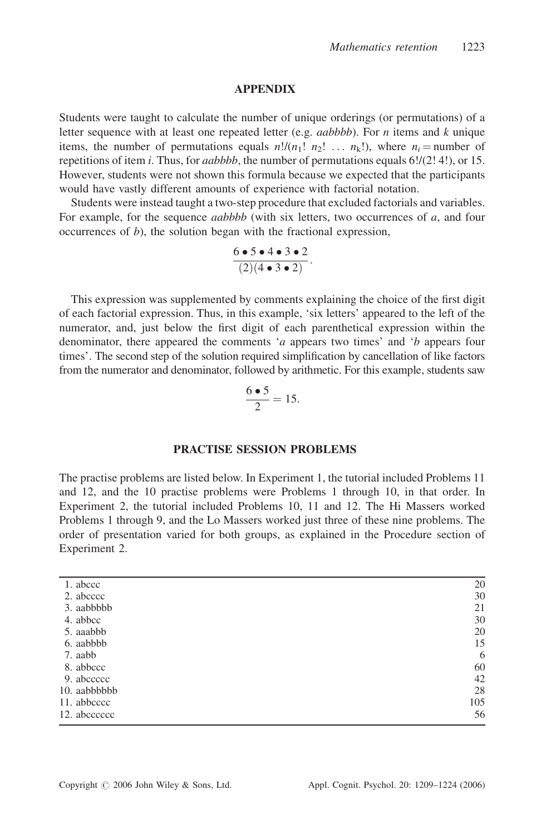#### APPENDIX

Students were taught to calculate the number of unique orderings (or permutations) of a letter sequence with at least one repeated letter (e.g. *aabbbb*). For *n* items and *k* unique items, the number of permutations equals  $n!/(n_1! n_2! \ldots n_k!)$ , where  $n_i =$ number of repetitions of item *i*. Thus, for *aabbbb*, the number of permutations equals  $6!/(2! 4!)$ , or 15. However, students were not shown this formula because we expected that the participants would have vastly different amounts of experience with factorial notation.

Students were instead taught a two-step procedure that excluded factorials and variables. For example, for the sequence *aabbbb* (with six letters, two occurrences of a, and four occurrences of  $b$ ), the solution began with the fractional expression,

$$
\frac{6\bullet 5\bullet 4\bullet 3\bullet 2}{(2)(4\bullet 3\bullet 2)}.
$$

This expression was supplemented by comments explaining the choice of the first digit of each factorial expression. Thus, in this example, 'six letters' appeared to the left of the numerator, and, just below the first digit of each parenthetical expression within the denominator, there appeared the comments 'a appears two times' and 'b appears four times'. The second step of the solution required simplification by cancellation of like factors from the numerator and denominator, followed by arithmetic. For this example, students saw

$$
\frac{6\bullet 5}{2} = 15.
$$

#### PRACTISE SESSION PROBLEMS

The practise problems are listed below. In Experiment 1, the tutorial included Problems 11 and 12, and the 10 practise problems were Problems 1 through 10, in that order. In Experiment 2, the tutorial included Problems 10, 11 and 12. The Hi Massers worked Problems 1 through 9, and the Lo Massers worked just three of these nine problems. The order of presentation varied for both groups, as explained in the Procedure section of Experiment 2.

| 1. abccc     | 20  |
|--------------|-----|
| 2. abcccc    | 30  |
| 3. aabbbbb   | 21  |
| 4. abbcc     | 30  |
| 5. aaabbb    | 20  |
| 6. aabbbb    | 15  |
| 7. aabb      | 6   |
| 8. abbccc    | 60  |
| 9. abccccc   | 42  |
| 10. aabbbbbb | 28  |
| 11. abbcccc  | 105 |
| 12. abcccccc | 56  |
|              |     |